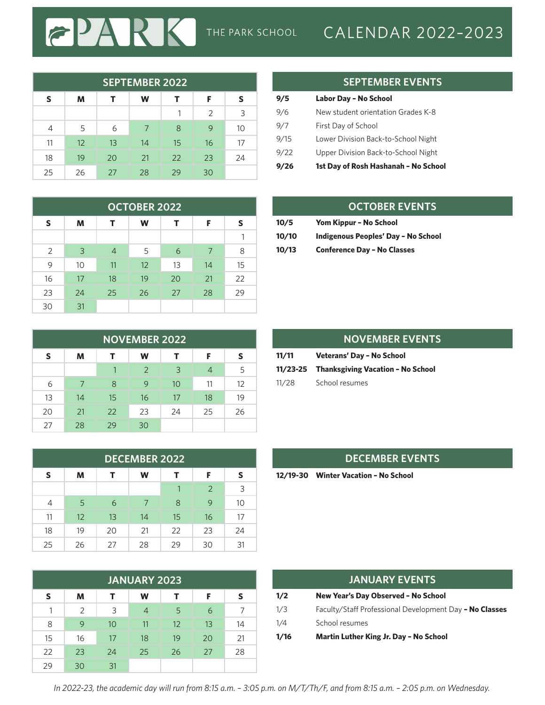# THE PARK SCHOOL CALENDAR 2022-2023

| <b>SEPTEMBER 2022</b> |    |    |    |    |               |    |  |  |
|-----------------------|----|----|----|----|---------------|----|--|--|
| S                     | M  | т  | W  | т  | F             | S  |  |  |
|                       |    |    |    |    | $\mathcal{P}$ | 3  |  |  |
| 4                     | 5  | 6  | 7  | 8  | 9             | 10 |  |  |
| 11                    | 12 | 13 | 14 | 15 | 16            | 17 |  |  |
| 18                    | 19 | 20 | 21 | 22 | 23            | 24 |  |  |
| 25                    | 26 | 27 | 28 | 29 | 30            |    |  |  |

PAI

 $|\boldsymbol{\widetilde{c}}|$ 

RK

| <b>OCTOBER 2022</b> |    |                |    |    |    |    |  |  |
|---------------------|----|----------------|----|----|----|----|--|--|
| S                   | м  | т              | W  | т  | F  | S  |  |  |
|                     |    |                |    |    |    |    |  |  |
| 2                   | 3  | $\overline{4}$ | 5  | 6  | 7  | 8  |  |  |
| 9                   | 10 | 11             | 12 | 13 | 14 | 15 |  |  |
| 16                  | 17 | 18             | 19 | 20 | 21 | 22 |  |  |
| 23                  | 24 | 25             | 26 | 27 | 28 | 29 |  |  |
| 30                  | 31 |                |    |    |    |    |  |  |

| <b>NOVEMBER 2022</b> |    |    |               |    |                |    |  |  |
|----------------------|----|----|---------------|----|----------------|----|--|--|
| S                    | м  | т  | w             | т  | F              | S  |  |  |
|                      |    |    | $\mathcal{P}$ | 3  | $\overline{4}$ | 5  |  |  |
| 6                    |    | 8  | 9             | 10 | 11             | 12 |  |  |
| 13                   | 14 | 15 | 16            | 17 | 18             | 19 |  |  |
| 20                   | 21 | 22 | 23            | 24 | 25             | 26 |  |  |
| 27                   | 28 | 29 | 30            |    |                |    |  |  |

| <b>DECEMBER 2022</b> |    |    |    |    |    |    |  |  |
|----------------------|----|----|----|----|----|----|--|--|
| S                    | м  |    | W  |    | F  | s  |  |  |
|                      |    |    |    |    | 2  | 3  |  |  |
| 4                    | 5  | 6  | 7  | 8  | 9  | 10 |  |  |
| 11                   | 12 | 13 | 14 | 15 | 16 | 17 |  |  |
| 18                   | 19 | 20 | 21 | 22 | 23 | 24 |  |  |
| 25                   | 26 | 27 | 28 | 29 | 30 | 31 |  |  |

| <b>JANUARY 2023</b> |               |    |    |    |    |    |  |  |
|---------------------|---------------|----|----|----|----|----|--|--|
| S                   | M             | т  | w  | т  | F  | s  |  |  |
| 1                   | $\mathcal{P}$ | 3  |    | 5  | 6  |    |  |  |
| 8                   | 9             | 10 | 11 | 12 | 13 | 14 |  |  |
| 15                  | 16            | 17 | 18 | 19 | 20 | 21 |  |  |
| 22                  | 23            | 24 | 25 | 26 | 27 | 28 |  |  |
| 29                  | 30            | 31 |    |    |    |    |  |  |

### **SEPTEMBER EVENTS**

| 9/5  | Labor Day - No School                |
|------|--------------------------------------|
| 9/6  | New student orientation Grades K-8   |
| 9/7  | First Day of School                  |
| 9/15 | Lower Division Back-to-School Night  |
| 9/22 | Upper Division Back-to-School Night  |
| 9/26 | 1st Day of Rosh Hashanah - No School |

#### **OCTOBER EVENTS**

| 10/5  | Yom Kippur - No School              |
|-------|-------------------------------------|
| 10/10 | Indigenous Peoples' Day - No School |
| 10/13 | <b>Conference Day - No Classes</b>  |

|       | <b>NOVEMBER EVENTS</b>                     |
|-------|--------------------------------------------|
| 11/11 | Veterans' Day - No School                  |
|       | 11/23-25 Thanksgiving Vacation - No School |
| 11/28 | School resumes                             |

#### **DECEMBER EVENTS**

**12/19-30 Winter Vacation – No School**

| JANUARY EVENTS |                                                         |  |  |  |  |  |
|----------------|---------------------------------------------------------|--|--|--|--|--|
| 1/2            | New Year's Day Observed - No School                     |  |  |  |  |  |
| 1/3            | Faculty/Staff Professional Development Day - No Classes |  |  |  |  |  |
| 1/4            | School resumes                                          |  |  |  |  |  |
| 1/16           | Martin Luther King Jr. Day - No School                  |  |  |  |  |  |

*In 2022-23, the academic day will run from 8:15 a.m. – 3:05 p.m. on M/T/Th/F, and from 8:15 a.m. – 2:05 p.m. on Wednesday.*